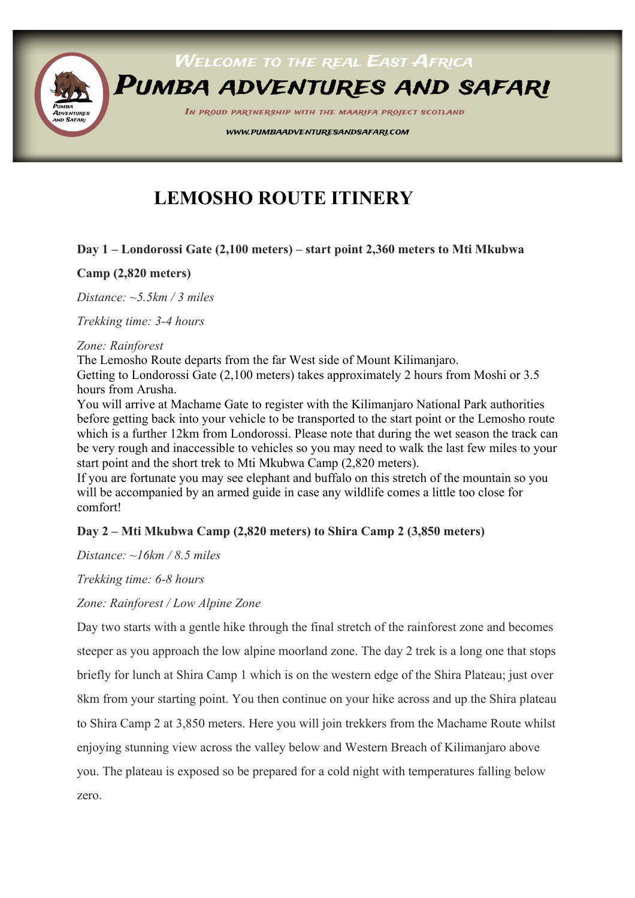

# **LEMOSHO ROUTE ITINERY**

#### **Day 1 – Londorossi Gate (2,100 meters) – start point 2,360 meters to Mti Mkubwa**

#### **Camp (2,820 meters)**

*Distance: ~5.5km / 3 miles*

*Trekking time: 3-4 hours*

#### *Zone: Rainforest*

The Lemosho Route departs from the far West side of Mount Kilimanjaro.

Getting to Londorossi Gate (2,100 meters) takes approximately 2 hours from Moshi or 3.5 hours from Arusha.

You will arrive at Machame Gate to register with the Kilimanjaro National Park authorities before getting back into your vehicle to be transported to the start point or the Lemosho route which is a further 12km from Londorossi. Please note that during the wet season the track can be very rough and inaccessible to vehicles so you may need to walk the last few miles to your start point and the short trek to Mti Mkubwa Camp (2,820 meters).

If you are fortunate you may see elephant and buffalo on this stretch of the mountain so you will be accompanied by an armed guide in case any wildlife comes a little too close for comfort!

#### **Day 2 – Mti Mkubwa Camp (2,820 meters) to Shira Camp 2 (3,850 meters)**

*Distance: ~16km / 8.5 miles*

*Trekking time: 6-8 hours*

*Zone: Rainforest / Low Alpine Zone*

Day two starts with a gentle hike through the final stretch of the rainforest zone and becomes steeper as you approach the low alpine moorland zone. The day 2 trek is a long one that stops briefly for lunch at Shira Camp 1 which is on the western edge of the Shira Plateau; just over 8km from your starting point. You then continue on your hike across and up the Shira plateau to Shira Camp 2 at 3,850 meters. Here you will join trekkers from the Machame Route whilst enjoying stunning view across the valley below and Western Breach of Kilimanjaro above you. The plateau is exposed so be prepared for a cold night with temperatures falling below zero.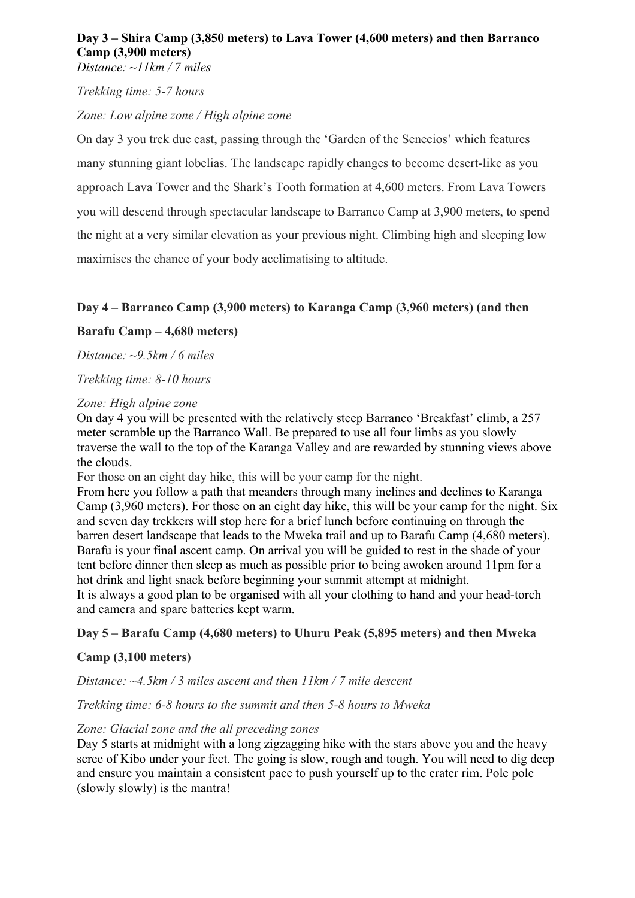# **Day 3 – Shira Camp (3,850 meters) to Lava Tower (4,600 meters) and then Barranco Camp (3,900 meters)**

*Distance: ~11km / 7 miles*

*Trekking time: 5-7 hours*

# *Zone: Low alpine zone / High alpine zone*

On day 3 you trek due east, passing through the 'Garden of the Senecios' which features many stunning giant lobelias. The landscape rapidly changes to become desert-like as you approach Lava Tower and the Shark's Tooth formation at 4,600 meters. From Lava Towers you will descend through spectacular landscape to Barranco Camp at 3,900 meters, to spend the night at a very similar elevation as your previous night. Climbing high and sleeping low maximises the chance of your body acclimatising to altitude.

# **Day 4 – Barranco Camp (3,900 meters) to Karanga Camp (3,960 meters) (and then**

# **Barafu Camp – 4,680 meters)**

*Distance: ~9.5km / 6 miles*

*Trekking time: 8-10 hours*

#### *Zone: High alpine zone*

On day 4 you will be presented with the relatively steep Barranco 'Breakfast' climb, a 257 meter scramble up the Barranco Wall. Be prepared to use all four limbs as you slowly traverse the wall to the top of the Karanga Valley and are rewarded by stunning views above the clouds.

For those on an eight day hike, this will be your camp for the night.

From here you follow a path that meanders through many inclines and declines to Karanga Camp (3,960 meters). For those on an eight day hike, this will be your camp for the night. Six and seven day trekkers will stop here for a brief lunch before continuing on through the barren desert landscape that leads to the Mweka trail and up to Barafu Camp (4,680 meters). Barafu is your final ascent camp. On arrival you will be guided to rest in the shade of your tent before dinner then sleep as much as possible prior to being awoken around 11pm for a hot drink and light snack before beginning your summit attempt at midnight.

It is always a good plan to be organised with all your clothing to hand and your head-torch and camera and spare batteries kept warm.

### **Day 5 – Barafu Camp (4,680 meters) to Uhuru Peak (5,895 meters) and then Mweka**

### **Camp (3,100 meters)**

*Distance: ~4.5km / 3 miles ascent and then 11km / 7 mile descent*

### *Trekking time: 6-8 hours to the summit and then 5-8 hours to Mweka*

### *Zone: Glacial zone and the all preceding zones*

Day 5 starts at midnight with a long zigzagging hike with the stars above you and the heavy scree of Kibo under your feet. The going is slow, rough and tough. You will need to dig deep and ensure you maintain a consistent pace to push yourself up to the crater rim. Pole pole (slowly slowly) is the mantra!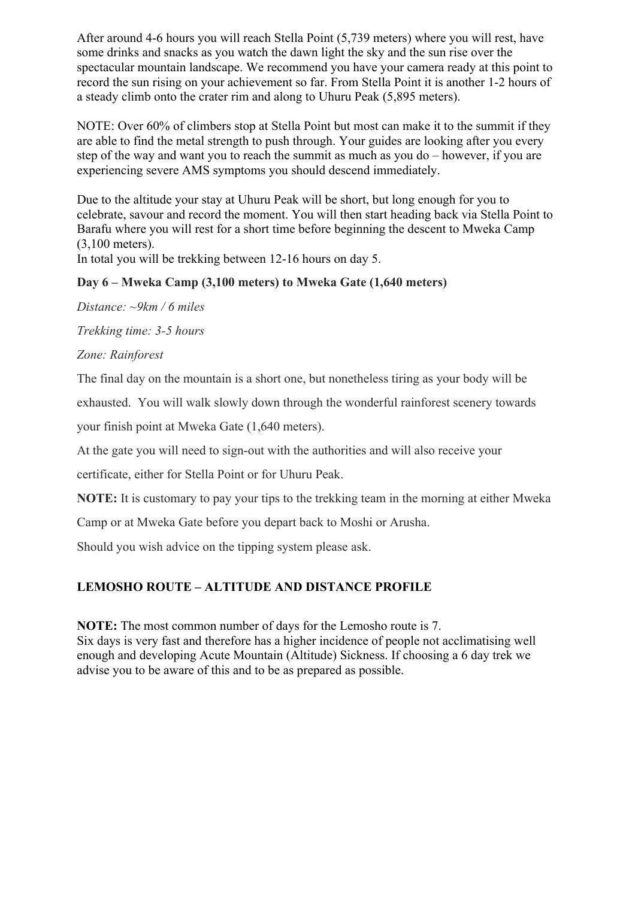After around 4-6 hours you will reach Stella Point (5,739 meters) where you will rest, have some drinks and snacks as you watch the dawn light the sky and the sun rise over the spectacular mountain landscape. We recommend you have your camera ready at this point to record the sun rising on your achievement so far. From Stella Point it is another 1-2 hours of a steady climb onto the crater rim and along to Uhuru Peak (5,895 meters).

NOTE: Over 60% of climbers stop at Stella Point but most can make it to the summit if they are able to find the metal strength to push through. Your guides are looking after you every step of the way and want you to reach the summit as much as you do – however, if you are experiencing severe AMS symptoms you should descend immediately.

Due to the altitude your stay at Uhuru Peak will be short, but long enough for you to celebrate, savour and record the moment. You will then start heading back via Stella Point to Barafu where you will rest for a short time before beginning the descent to Mweka Camp (3,100 meters).

In total you will be trekking between 12-16 hours on day 5.

# **Day 6 – Mweka Camp (3,100 meters) to Mweka Gate (1,640 meters)**

*Distance: ~9km / 6 miles*

*Trekking time: 3-5 hours*

*Zone: Rainforest*

The final day on the mountain is a short one, but nonetheless tiring as your body will be

exhausted. You will walk slowly down through the wonderful rainforest scenery towards

your finish point at Mweka Gate (1,640 meters).

At the gate you will need to sign-out with the authorities and will also receive your

certificate, either for Stella Point or for Uhuru Peak.

**NOTE:** It is customary to pay your tips to the trekking team in the morning at either Mweka

Camp or at Mweka Gate before you depart back to Moshi or Arusha.

Should you wish advice on the tipping system please ask.

### **LEMOSHO ROUTE – ALTITUDE AND DISTANCE PROFILE**

**NOTE:** The most common number of days for the Lemosho route is 7.

Six days is very fast and therefore has a higher incidence of people not acclimatising well enough and developing Acute Mountain (Altitude) Sickness. If choosing a 6 day trek we advise you to be aware of this and to be as prepared as possible.